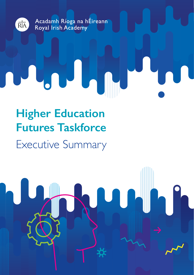

# **Higher Education Futures Taskforce**

## Executive Summary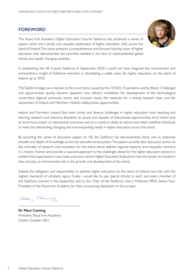#### **FOREWORD**

The Royal Irish Academy Higher Education Futures Taskforce has produced a series of papers which are a timely and valuable exploration of higher education (HE) across the island of Ireland. The series presents a comprehensive and forward-looking vision of higher education that demonstrates the priorities needed in the face of unprecedented global trends and rapidly changing societies.



In establishing the HE Futures Taskforce in September 2020, I could not have imagined the commitment and extraordinary insight of Taskforce members in developing a viable vision for higher education on the island of Ireland up to 2035.

The Taskforce began as a reaction to the uncertainty caused by the COVID-19 pandemic and by Brexit. Challenges and opportunities quickly became apparent: new delivery modalities; the development of the technological universities; regional pressures, access and inclusion issues, the necessity for a strong research base, and the assessment of Ireland and Northern Ireland collaborative opportunities.

Ireland and Northern Ireland face both similar and diverse challenges in higher education from teaching and learning, research and resource allocation, to access and equality of educational opportunities, all of which have an enormous impact on educational outcomes and on a country's ability to attract and retain qualified individuals to meet the demanding, changing and ever-expanding needs in higher education across the island.

By launching this series of discussion papers on HE, the Taskforce has demonstrated clarity and an extensive breadth and depth of knowledge across the educational ecosystem. The papers provide clear discussion points on the centrality of research and innovation for the entire island, address regional disparity and inequality concerns in a holistic manner and provide a nuanced approach to the challenges ahead for the higher education sector. It is evident that expectations must meet outcomes where Higher Education Institutions have the power to transform lives and play an instrumental role in the growth and development of the island.

Indeed, the obligation and responsibility to address higher education on the island of Ireland was met with the highest standards of scholarly rigour. Finally, I would like to pay special tribute to each and every member of the Taskforce (named in the Appendix) and to the Chair of the Taskforce, Gerry McKenna MRIA, Senior Vice-President of the Royal Irish Academy, for their unwavering dedication to this project.

ller, Cannie

**Dr Mary Canning**  President, Royal Irish Academy Dublin, October 2021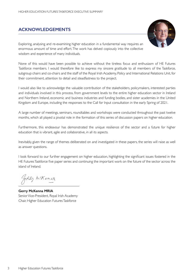#### **ACKNOWLEDGEMENTS**



Exploring, analysing and re-examining higher education in a fundamental way requires an enormous amount of time and effort. The work has delved copiously into the collective wisdom and experience of many individuals.

None of this would have been possible to achieve without the tireless focus and enthusiasm of HE Futures Taskforce members. I would therefore like to express my sincere gratitude to all members of the Taskforce, subgroup chairs and co-chairs and the staff of the Royal Irish Academy, Policy and International Relations Unit, for their commitment, attention to detail and steadfastness to the project.

I would also like to acknowledge the valuable contribution of the stakeholders, policymakers, interested parties and individuals involved in this process, from government levels to the entire higher education sector in Ireland and Northern Ireland, economic and business industries and funding bodies, and sister academies in the United Kingdom and Europe, including the responses to the Call for Input consultation in the early Spring of 2021.

A large number of meetings, seminars, roundtables and workshops were conducted throughout the past twelve months, which all played a pivotal role in the formation of this series of discussion papers on higher education.

Furthermore, this endeavour has demonstrated the unique resilience of the sector and a future for higher education that is vibrant, agile and collaborative, in all its aspects.

Inevitably, given the range of themes deliberated on and investigated in these papers, the series will raise as well as answer questions.

I look forward to our further engagement on higher education, highlighting the significant issues fostered in the HE Futures Taskforce five paper series and continuing the important work on the future of the sector across the island of Ireland.

GerRy m'Kenza

**Gerry McKenna MRIA** Senior Vice-President, Royal Irish Academy Chair, Higher Education Futures Taskforce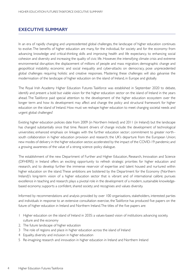#### **EXECUTIVE SUMMARY**

In an era of rapidly changing and unprecedented global challenges, the landscape of higher education continues to evolve. The benefits of higher education are many, for the individual, for society and for the economy: from advancing knowledge and critical-thinking skills and improving health and life expectancy, to enhancing social cohesion and diversity and increasing the quality of civic life. However, the intensifying climate crisis and extreme environmental disruption; the displacement of millions of people and mass migration; demographic change and geopolitical instability; economic and social inequality and cyber-attacks on democracy, pose unprecedented global challenges requiring holistic and creative responses. Mastering these challenges will also galvanise the modernisation of the landscape of higher education on the island of Ireland, in Europe and globally.

The Royal Irish Academy Higher Education Futures Taskforce was established in September 2020 to debate, identify and present a bold but viable vision for the higher education sector on the island of Ireland in the years ahead. The Taskforce paid special attention to the development of the higher education ecosystem over the longer term and how its development may affect and change the policy and structural framework for higher education on the island of Ireland. How must we reshape higher education to meet changing societal needs and urgent global challenges?

Existing higher education policies date from 2009 (in Northern Ireland) and 2011 (in Ireland) but the landscape has changed substantially since that time. Recent drivers of change include: the development of technological universities; enhanced emphasis on linkages with the further education sector; commitment to greater north– south collaboration in higher education provision and research; the UK's departure from the European Union; new modes of delivery in the higher education sector, accelerated by the impact of the COVID-19 pandemic; and a growing awareness of the value of a strong science–policy dialogue.

The establishment of the new Department of Further and Higher Education, Research, Innovation and Science (DFHERIS) in Ireland offers an exciting opportunity to refresh strategic priorities for higher education and research, and to develop further the immense reservoir of expertise and talent housed and nurtured within higher education on the island. These ambitions are bolstered by the Department for the Economy (Northern Ireland)'s long-term vision of a higher education sector that is vibrant and of international calibre; pursues excellence in teaching and research; plays a pivotal role in the development of a modern, sustainable knowledgebased economy; supports a confident, shared society; and recognises and values diversity.

Informed by recommendations and analysis provided by over 100 organisations, stakeholders, interested parties and individuals in response to an extensive consultation exercise, the Taskforce has produced five papers on the future of higher education in Ireland and Northern Ireland. The titles of the five papers are:

- 1 Higher education on the island of Ireland in 2035: a values-based vision of institutions advancing society, culture and the economy
- 2. The future landscape of higher education
- 3 The role of regions and place in higher education across the island of Ireland
- 4 Equality, diversity and inclusion in higher education
- 5 Re-imagining research and innovation in higher education in Ireland and Northern Ireland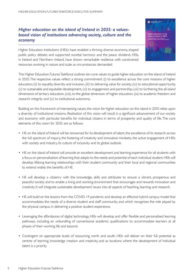#### *Higher education on the island of Ireland in 2035: a valuesbased vision of institutions advancing society, culture and the economy*



Higher Education Institutions (HEIs) have enabled a thriving diverse economy, shaped public policy debate, and supported societal harmony and the peace dividend. HEIs, in Ireland and Northern Ireland, have shown remarkable resilience with constrained resources, evolving in nature and scale as circumstances demanded.

The Higher Education Futures Taskforce outlines ten core values to guide higher education on the island of Ireland in 2035. The respective values reflect a strong commitment: (i) to excellence across the core missions of higher education; (ii) to equality, diversity and inclusion, (iii) to delivering value for society, (iv) to educational opportunity, (v) to sustainable and equitable development, (vi) to engagement and partnership, (vii) to furthering the all-island dimensions of tertiary education, (viii), to the global dimension of higher education, (ix) to academic freedom and research integrity and (x) to institutional autonomy.

Building on this framework of intersecting values, the vision for higher education on this island in 2035 relies upon a diversity of institutional missions. Realisation of this vision will result in a significant advancement of our society and economy with particular benefits for individual citizens in terms of prosperity and quality of life. The core elements of this vision for 2035 are as follows:

- HE on the island of Ireland will be renowned for its development of talent, the excellence of its research across the full spectrum of inquiry, the fostering of creativity and innovative mindsets, the active engagement of HEIs with society and industry, its culture of inclusivity and its global outlook.
- HE on the island of Ireland will provide an excellent development and learning experience for all students with a focus on personalisation of learning that adapts to the needs and potential of each individual student. HEIs will develop lifelong learning relationships with their student community and their local and regional communities to extend widely the benefits of HE.
- HE will develop a citizenry with the knowledge, skills and attributes to ensure a vibrant, prosperous and peaceful society and to enable a living and working environment that encourages and rewards innovation and creativity. It will integrate sustainable development issues into all aspects of teaching, learning and research.
- HE will build on the lessons from the COVID-19 pandemic and develop an effective hybrid campus model that accommodates the needs of a diverse student and staff community, and which recognises the role played by the physical campus in delivering a positive student experience.
- Leveraging the affordances of digital technology, HEIs will develop and offer flexible and personalised learning pathways, including an unbundling of conventional academic qualifications to accommodate learners at all phases of their working life and beyond.
- Contingent on appropriate levels of resourcing, north and south, HEIs will deliver on their full potential as centres of learning, knowledge creation and creativity, and as locations where the development of individual talent is a priority.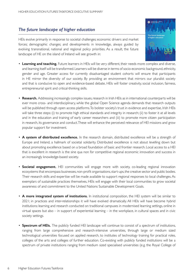## *The future landscape of higher education*

HEIs evolve primarily in response to societal challenges; economic drivers and market forces; demographic changes; and developments in knowledge, always guided by evolving transnational, national and regional policy priorities. As a result, the future landscape of HE on the island of Ireland will see growth in:

- **Learning and teaching.** Future learners in HEIs will be very different, their needs more complex and diverse, and learning itself will be transformed. Learners will be diverse in terms of socio-economic background, ethnicity, gender and age. Greater access for currently disadvantaged student cohorts will ensure that participants in HE mirror the diversity of our society. By providing an environment that mirrors our pluralist society and that is conducive to open and evidence-based debate, HEIs will foster creativity, social inclusion, fairness, entrepreneurial spirit and critical-thinking skills.
- **Research.** Addressing increasingly complex issues, research in Irish HEIs as in international counterparts will be ever more cross- and interdisciplinary, while the global Open Science agenda demands that research outputs will be published through open access platforms. To bolster society's trust in evidence and expertise, Irish HEIs will take three steps: (i) to promote high ethical standards and integrity in research; (ii) to foster it at all levels and in the education and training of early career researchers and (iii) to promote more citizen participation in research, its governance and conduct. These will enhance the perceived relevance of HEI missions and grow popular support for investment.
- **A system of distributed excellence.** In the research domain, distributed excellence will be a strength of Europe and Ireland, a hallmark of societal solidarity. Distributed excellence is not about levelling down but about promoting excellence based on a broad foundation of basic and frontier research. Local access to a HEI that is excellent in research is the sine qua non for competitive regional economic innovation and success in an increasingly knowledge-based society.
- **Societal engagement.** HEI communities will engage more with society, co-leading regional innovation ecosystems that encompass businesses, non-profit organisations, start-ups, the creative sector and public bodies. Their research skills and expertise will be made available to support regional responses to local challenges. As exemplars of sustainable practices themselves, HEIs will engage with their local communities to grow societal awareness of and commitment to the United Nations Sustainable Development Goals.
- **A more integrated system of institutions.** In institutional composition, the HEI system will be similar to 2021; in practices and inter-relationships it will have evolved dramatically. All HEIs will have become hybrid institutions: learning and research conducted on traditional campuses in modernised learning settings, online in virtual spaces but also – in support of experiential learning – in the workplace, in cultural spaces and in civic society settings.
- **Spectrum of HEIs.** The publicly funded HEI landscape will continue to consist of a spectrum of institutions, ranging from large comprehensive and research-intensive universities, through large or medium sized technological universities focused on applied research, to institutes of technology training for practical roles, colleges of the arts and colleges of further education. Co-existing with publicly funded institutions will be a spectrum of private institutions ranging from medium sized specialised universities (e.g. the Royal College of

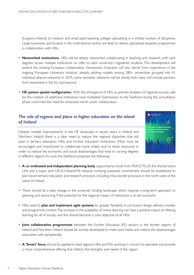Surgeons Ireland) to medium and small sized teaching colleges specialising in a limited number of disciplines. Large businesses (particularly in the multinational sector) are likely to deliver specialised bespoke programmes in collaboration with HEIs.

- **Networked institutions.** HEIs will be deeply networked, collaborating in teaching and research, with joint degrees across multiple institutions on offer to each university's registered students. This development will extend the existing European collaboration frameworks. Evolution will also derive from experience in the ongoing 'European University Initiative', already piloting models among 280+ universities grouped into 41 individual alliance networks. In 2035, some domestic networks will be wholly Irish; many will include partners from elsewhere in the EU and beyond.
- **HE system spatial configuration.** With the emergence of HEIs as premier enablers of regional success, calls for the creation of additional institutions have multiplied. Submissions to the Taskforce during the consultation phase confirmed the need for enhanced north–south collaboration.

#### *The role of regions and place in higher education on the island of Ireland*

Despite notable improvements in the HE landscape in recent years in Ireland and Northern Ireland, there is a clear need to reduce the regional disparities that still exist in tertiary education. HEIs and Further Education Institutions (FEIs) must be encouraged and incentivised to collaborate more widely and to share resources in order to reduce the economic and social disadvantages that exist to varying degrees in different regions. As such, the Taskforce proposes the following:



- **A co-ordinated and independent planning body** supported by funds from PEACE PLUS, the Shared Island Unit and a major joint UK-EU-Ireland-NI initiative involving sustained commitment should be established to plan future tertiary education and research provision, including cross-border provision, in the north-west of the island of Ireland.
- There should be a step change in the university funding landscape which requires a long-term approach to planning and resourcing if the potential for the regional impact of institutions is to be successful.
- HEIs need to **plan and implement agile systems** for greater flexibility in curriculum design, delivery models and programme content. The increase in the availability of online learning can have a positive impact on lifelong learning for all of society and this should become a core objective of all HEIs.
- **Joint collaborative programmes** between the Further Education (FE) sectors in the border regions of Ireland and Northern Ireland should be actively developed to meet local needs and reduce the disadvantages associated with peripherality.
- **A 'Smart' focus** should be applied to lead regional HEIs and FEIs working in concert to specialise and provide a more comprehensive offering that reflects the strengths and needs of the region.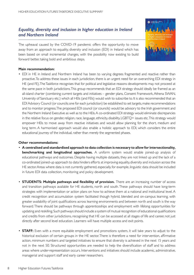### *Equality, diversity and inclusion in higher education in Ireland and Northern Ireland*

The upheaval caused by the COVID-19 pandemic offers the opportunity to move away from an approach to equality, diversity and inclusion (EDI) in Ireland which has been based on small incremental changes, with the possibility now existing to build forward better, taking bold and ambitious steps.



#### **Main recommendation:**

• EDI in HE in Ireland and Northern Ireland has been to varying degrees fragmented and reactive rather than proactive. To address these issues in each jurisdiction, there is an urgent need for an overarching EDI strategy in HE (and FE). The Taskforce recognises that for political and legislative reasons developments may not proceed at the same pace in both jurisdictions. This group recommends that an EDI strategy should ideally be framed as an all-island charter (combining current targets and initiatives – gender plans, Consent Framework, Athena SWAN, University of Sanctuary etc.) which all HEIs (and FEIs) would wish to subscribe to. It is also recommended that an EDI Advisory Council (or councils; one for each jurisdiction) be established to set targets, make recommendations and to monitor progress. The proposed EDI council (or councils) would be advisory to the Irish government and the Northern Ireland Executive as well as to the HEIs. A co-ordinated EDI strategy would eliminate discrepancies in the relative focus on gender, religion, race, language, ethnicity, disability, LGBTQ+ issues etc. This strategy would empower HEIs to move away from reactive initiatives and would allow planning for the short, medium and long term. A harmonised approach would also enable a holistic approach to EDI, which considers the entire educational journey of the individual, rather than merely the segmented phases.

#### **Other recommendations:**

- **A centralised and standardised approach to data collection is necessary to allow for intersectionality, benchmarking and longitudinal approaches.** A uniform system would enable joined-up analysis of educational pathways and outcomes. Despite having multiple datasets, they are not linked up and the lack of a co-ordinated joined-up approach to data hinders efforts at improving equality, diversity and inclusion across the HE sector. Areas where data is not currently gathered, especially, for example, linguistic data should be included in future EDI data collection, monitoring and policy development.
- **STUDENTS: Multiple pathways and flexibility of provision.** There are an increasing number of access and transition pathways available for HE students, north and south. These pathways should have long-term strategies with implementation or action plans on how to achieve them at a national and institutional level. A credit recognition and accumulation system facilitated though hybrid, blended and on-campus learning, with greater availability of joint qualifications across learning environments and between north and south is the way forward. There should be pathways through apprenticeships and employment with lifelong opportunities for updating and reskilling. Such pathways should include a system of mutual recognition of educational qualifications and credits from other jurisdictions, recognising that HE can be accessed at all stages of life and career, not just directly after second level education. Learners will have multiple access and exit points.
- **STAFF:** Even with a more equitable employment and promotions system, it will take years to adjust to the historical exclusion of certain groups in the HE sector. There is therefore a need for intervention, affirmative action, minimum numbers and targeted initiatives to ensure that diversity is achieved in the next 15 years and not in the next 50. Structured opportunities are needed to help the diversification of staff and to address areas where under-representation occurs. Interventions and initiatives should include academic, administrative, managerial and support staff and early career researchers.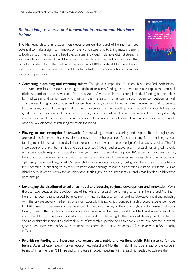#### *Re-imagining research and innovation in Ireland and Northern Ireland*

The HE research and innovation (R&I) ecosystem on the island of Ireland has huge potential to make a significant impact on the world stage, and to bring mutual benefit to both parts of the island. In a heathy ecosystem, individual HEIs have distinct strengths and excellence in research, and these can be used to complement and support that broad ecosystem. To further cultivate the potential of R&I in Ireland, Northern Ireland and/or on the island as a whole, the HE Futures Taskforce proposes five overarching areas of opportunity:

- **Attracting, sustaining and retaining talent:** The global competition for talent has intensified. Both Ireland and Northern Ireland require a strong portfolio of research funding instruments to retain top talent across all disciplines and to attract new talent from elsewhere. Central to this are strong individual funding opportunities for mid-career and senior faculty to maintain their research momentum through open competition, as well as increased hiring opportunities and competitive funding streams for early career researchers and academics. Furthermore, doctoral training is vital for the future success of R&I in both jurisdictions and is a potential area for greater co-operation on an all-island basis. Diverse, secure and sustainable career paths based on equality, diversity and inclusion in HE are required. Consideration should be given to an all-island HE and research area which would have the key objective of retaining talent on the island.
- **Playing to our strengths:** Frameworks for knowledge creation, sharing and impact. To build agility and preparedness for research across all disciplines so as to be prepared for current and future challenges, seed funding to build multi and transdisciplinary research networks and the co-design of initiatives is required. The full integration of the arts, humanities and social sciences (AHSS) and creative arts in research funding calls would enhance a holistic response to societal challenges. There is potential in the public R&I system in Northern Ireland, Ireland and on the island as a whole for leadership in the area of interdisciplinary research, and in particular in optimising the embedding of AHSS research for local societal and/or global goals. There is also the potential for leadership in enabling co-creation of knowledge through research partnerships outside academia. As an island, there is ample room for an innovative testing ground on inter-sectoral and cross-border collaborative partnerships.
- **Leveraging the distributed excellence model and boosting regional development and innovation.** Over the past two decades, the development of the HE and research performing systems in Ireland and Northern Ireland has been characterised by investment in interinstitutional centres and collaborative initiatives, including with the private sector, whether regionally or nationally. This policy is grounded in a distributed excellence model for R&I. Based on specialisms and excellence, HEIs secured funding in their own right and for research clusters. Going forward, the traditional research-intensive universities, the newly established technical universities (TUs) and other HEIs will be key, individually and collectively, to delivering further regional development. Institutions should declare their priorities and their hubs of research expertise so as to enable clarity. An increase in overall government investment in R&I will have to be considered in order to 'make room' for the growth in R&I capacity in TUs.
- **Prioritising funding and investment to ensure sustainable and resilient public R&I systems for the future.** As small, open, export-driven economies, Ireland and Northern Ireland must be ahead of the curve in terms of investment in R&I. In Ireland, an increase in public investment in research is needed to achieve the



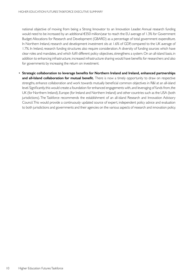national objective of moving from being a Strong Innovator to an Innovation Leader. Annual research funding would need to be increased by an additional €350 million/year to reach the EU average of 1.3% for Government Budget Allocations for Research and Development (GBARD) as a percentage of total government expenditure. In Northern Ireland, research and development investment sits at 1.6% of GDP, compared to the UK average of 1.7%. In Ireland, research funding structures also require consideration. A diversity of funding sources which have clear roles and mandates, and which fulfil different policy objectives, strengthens a system. On an all-island basis, in addition to enhancing infrastructure, increased infrastructure sharing would have benefits for researchers and also for governments by increasing the return on investment.

• **Strategic collaboration to leverage benefits for Northern Ireland and Ireland, enhanced partnerships and all-Island collaboration for mutual benefit.** There is now a timely opportunity to draw on respective strengths, enhance collaboration and work towards mutually beneficial common objectives in R&I at an all-island level. Significantly, this would create a foundation for enhanced engagements with, and leveraging of funds from, the UK (for Northern Ireland), Europe (for Ireland and Northern Ireland) and other countries such as the USA (both jurisdictions). The Taskforce recommends the establishment of an all-island Research and Innovation Advisory Council. This would provide a continuously updated source of expert, independent policy advice and evaluation to both jurisdictions and governments and their agencies on the various aspects of research and innovation policy.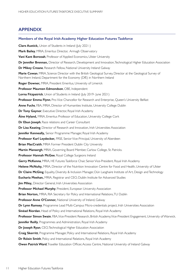#### **APPENDIX**

#### **Members of the Royal Irish Academy Higher Education Futures Taskforce**

**Clare Austick,** Union of Students in Ireland (July 2021-) **Mark Bailey**, MRIA, Emeritus Director, Armagh Observatory **Vani Kant Borooah**, Professor of Applied Economics, Ulster University **Dr Jennifer Brennan,** Director of Research, Development and Innovation, Technological Higher Education Association **Dr Mikey Creane**, Research Fellow, National University Ireland Galway **Marie Cowan**, MRIA, Science Director with the British Geological Survey, Director at the Geological Survey of Northern Ireland, Department for the Economy (DfE) in Northern Ireland **Roger Downer,** MRIA, President Emeritus, University of Limerick **Professor Maureen Edmondson**, OBE, Independent **Lorna Fitzpatrick**, Union of Students in Ireland (July 2019- June 2021) **Professor Emma Flynn**, Pro-Vice Chancellor for Research and Enterprise, Queen's University Belfast **Anne Fuchs**, FBA, MRIA, Director of Humanities Institute, University College Dublin **Dr Tony Gaynor**, Executive Director, Royal Irish Academy **Áine Hyland,** MRIA, Emeritus Professor of Education, University College Cork **Dr Ebun Joseph**, Race relations and Career Consultant **Dr Lisa Keating**, Director of Research and Innovation, Irish Universities Association **Jennifer Kenneally,** Senior Programme Manager, Royal Irish Academy **Professor Karl Leydecker,** FRSE, Senior Vice-Principal, University of Aberdeen **Brian MacCraith**, MRIA Former President Dublin City University **Martin Mansergh**, MRIA, Governing Board Member, Carlow College, St. Patricks. **Professor Hannah McGee**, Royal College Surgeons Ireland **Gerry McKenna**, MRIA, HE Futures Taskforce Chair, Senior Vice-President, Royal Irish Academy **Helene McNulty,** MRIA, Director of the Nutrition Innovation Centre for Food and Health, University of Ulster **Dr Claire McGing**, Equality, Diversity & Inclusion Manager, Dún Laoghaire Institute of Art, Design and Technology **Eucharia Meehan,** MRIA, Registrar and CEO, Dublin Institute for Advanced Studies **Jim Miley, Director General, Irish Universities Association Professor Michael Murphy**, President, European University Association **Brian Norton,** MRIA, RIA Secretary for Policy and International Relations, TU Dublin **Professor Anne O'Connor,** National University of Ireland, Galway **Dr Lynn Ramsey**, Programme Lead Multi-Campus Micro-credentials project, Irish Universities Association **Sinéad Riordan**, Head of Policy and International Relations, Royal Irish Academy **Professor Simon Swain**, FBA, Vice-President Research, British Academy, Vice-President Engagement, University of Warwick. **Jennifer Reilly**, Programmes and Administration, Royal Irish Academy **Dr Joseph Ryan**, CEO, Technological Higher Education Association **Craig Skerritt**, Programme Manager, Policy and International Relations, Royal Irish Academy **Dr Róisín Smith**, Policy and International Relations, Royal Irish Academy **Owen Patrick Ward**, Traveller Education Officer, Access Centre, National University of Ireland Galway